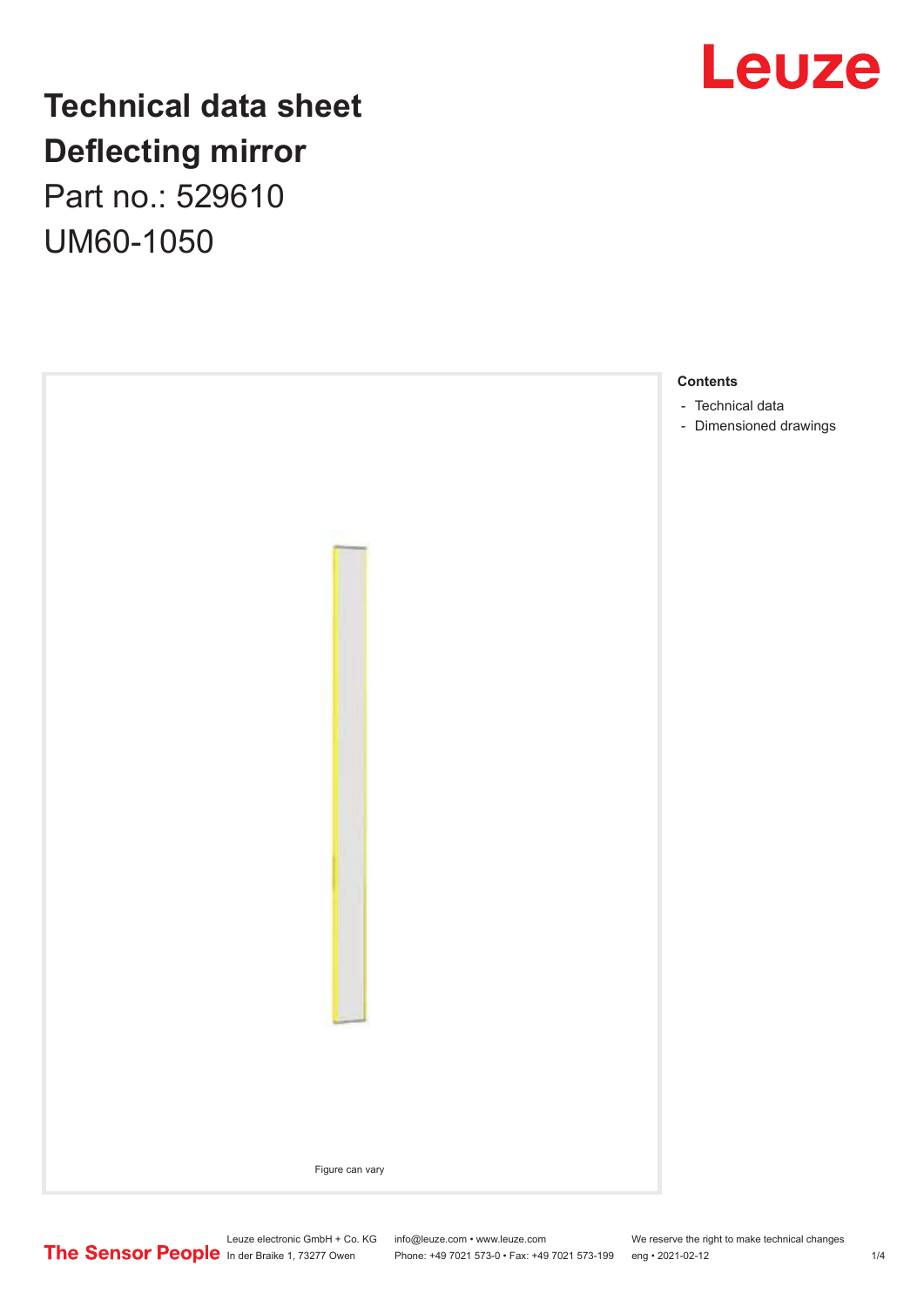

# **Technical data sheet Deflecting mirror**

Part no.: 529610 UM60-1050



Leuze electronic GmbH + Co. KG info@leuze.com • www.leuze.com We reserve the right to make technical changes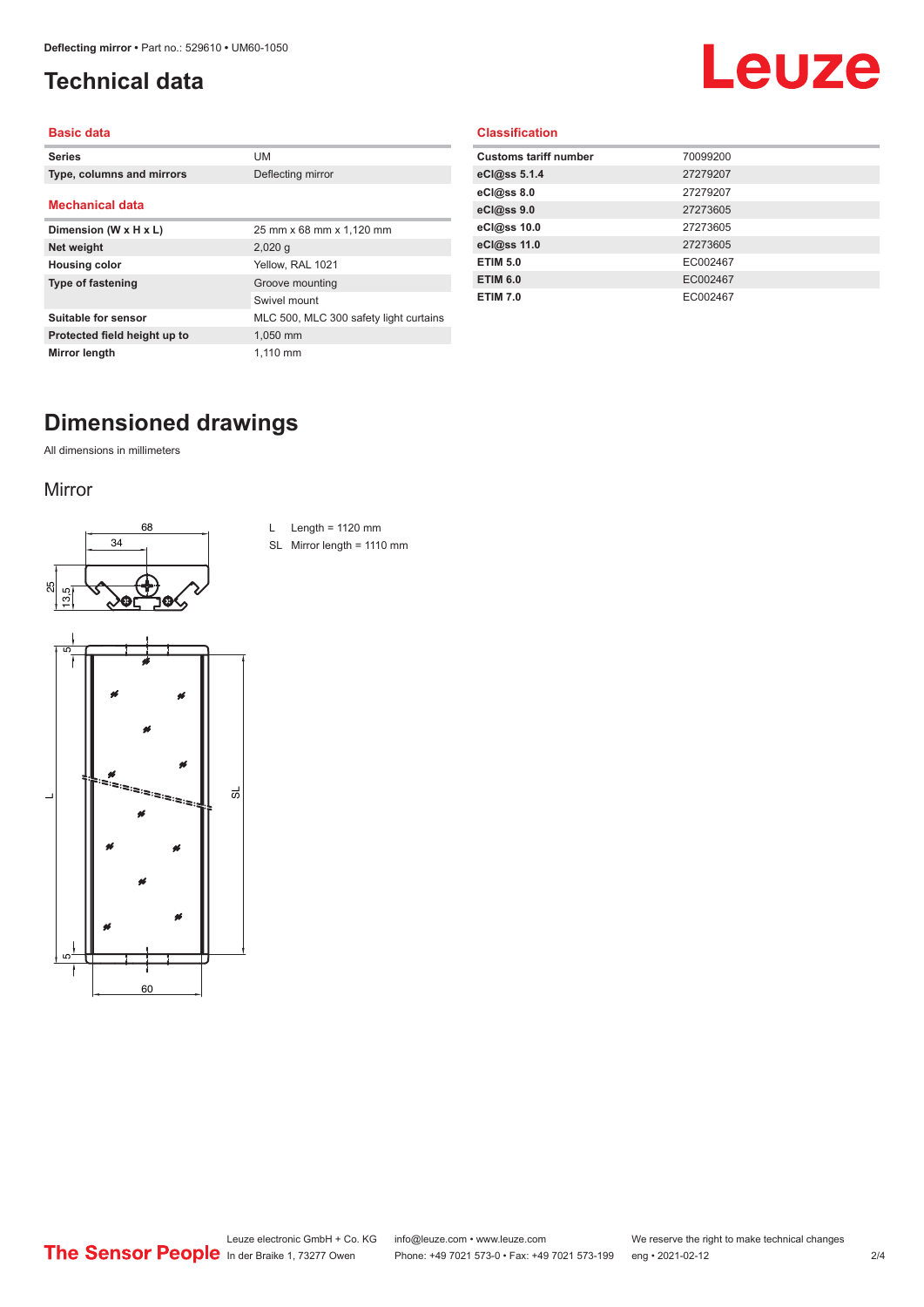# <span id="page-1-0"></span>**Technical data**

# Leuze

#### **Basic data**

| <b>Series</b>                | UM                                     |
|------------------------------|----------------------------------------|
| Type, columns and mirrors    | Deflecting mirror                      |
| <b>Mechanical data</b>       |                                        |
| Dimension (W x H x L)        | 25 mm x 68 mm x 1,120 mm               |
| Net weight                   | $2,020$ q                              |
| <b>Housing color</b>         | Yellow, RAL 1021                       |
| Type of fastening            | Groove mounting                        |
|                              | Swivel mount                           |
| Suitable for sensor          | MLC 500, MLC 300 safety light curtains |
| Protected field height up to | 1,050 mm                               |
| Mirror length                | 1.110 mm                               |

#### **Classification**

| <b>Customs tariff number</b> | 70099200 |
|------------------------------|----------|
| eCl@ss 5.1.4                 | 27279207 |
| eCl@ss 8.0                   | 27279207 |
| eCl@ss 9.0                   | 27273605 |
| eCl@ss 10.0                  | 27273605 |
| eCl@ss 11.0                  | 27273605 |
| <b>ETIM 5.0</b>              | EC002467 |
| <b>ETIM 6.0</b>              | EC002467 |
| <b>ETIM 7.0</b>              | EC002467 |
|                              |          |

## **Dimensioned drawings**

All dimensions in millimeters

#### Mirror





- L Length =  $1120$  mm
- SL Mirror length = 1110 mm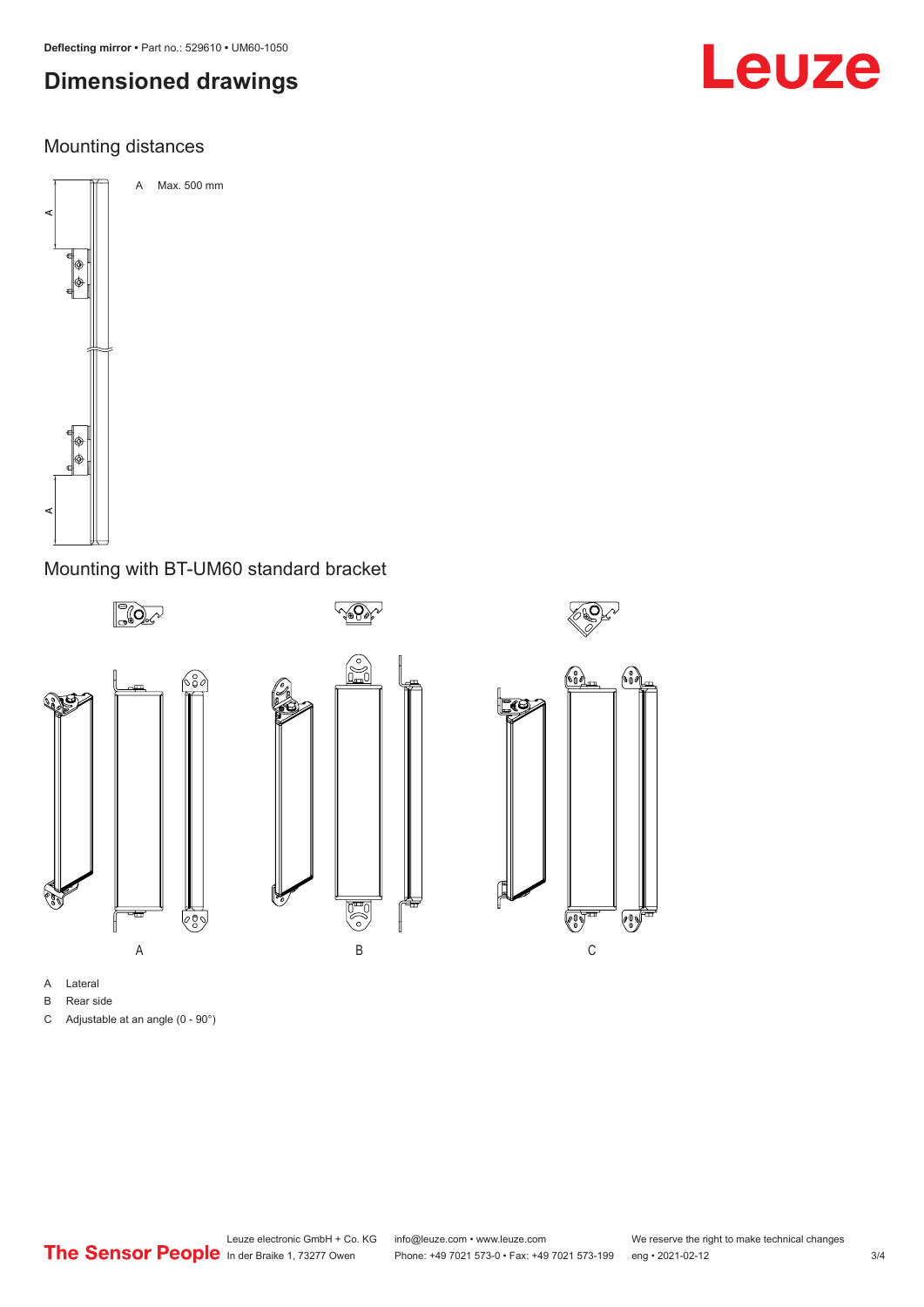# **Dimensioned drawings**

## Mounting distances



### Mounting with BT-UM60 standard bracket



- A Lateral
- B Rear side
- C Adjustable at an angle (0 90°)